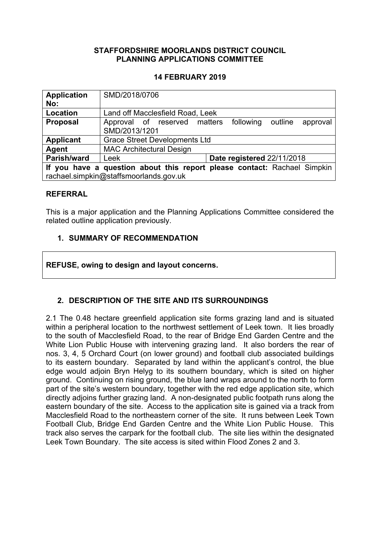## **STAFFORDSHIRE MOORLANDS DISTRICT COUNCIL PLANNING APPLICATIONS COMMITTEE**

## **14 FEBRUARY 2019**

| <b>Application</b><br>No:                                                | SMD/2018/0706                                                                     |  |
|--------------------------------------------------------------------------|-----------------------------------------------------------------------------------|--|
| Location                                                                 | Land off Macclesfield Road, Leek                                                  |  |
| <b>Proposal</b>                                                          | following<br>Approval of reserved matters<br>outline<br>approval<br>SMD/2013/1201 |  |
| <b>Applicant</b>                                                         | <b>Grace Street Developments Ltd</b>                                              |  |
| Agent                                                                    | <b>MAC Architectural Design</b>                                                   |  |
| Parish/ward                                                              | Date registered 22/11/2018<br>Leek                                                |  |
| If you have a question about this report please contact: Rachael Simpkin |                                                                                   |  |
| rachael.simpkin@staffsmoorlands.gov.uk                                   |                                                                                   |  |

#### **REFERRAL**

This is a major application and the Planning Applications Committee considered the related outline application previously.

## **1. SUMMARY OF RECOMMENDATION**

**REFUSE, owing to design and layout concerns.**

# **2. DESCRIPTION OF THE SITE AND ITS SURROUNDINGS**

2.1 The 0.48 hectare greenfield application site forms grazing land and is situated within a peripheral location to the northwest settlement of Leek town. It lies broadly to the south of Macclesfield Road, to the rear of Bridge End Garden Centre and the White Lion Public House with intervening grazing land. It also borders the rear of nos. 3, 4, 5 Orchard Court (on lower ground) and football club associated buildings to its eastern boundary. Separated by land within the applicant's control, the blue edge would adjoin Bryn Helyg to its southern boundary, which is sited on higher ground. Continuing on rising ground, the blue land wraps around to the north to form part of the site's western boundary, together with the red edge application site, which directly adjoins further grazing land. A non-designated public footpath runs along the eastern boundary of the site. Access to the application site is gained via a track from Macclesfield Road to the northeastern corner of the site. It runs between Leek Town Football Club, Bridge End Garden Centre and the White Lion Public House. This track also serves the carpark for the football club. The site lies within the designated Leek Town Boundary. The site access is sited within Flood Zones 2 and 3.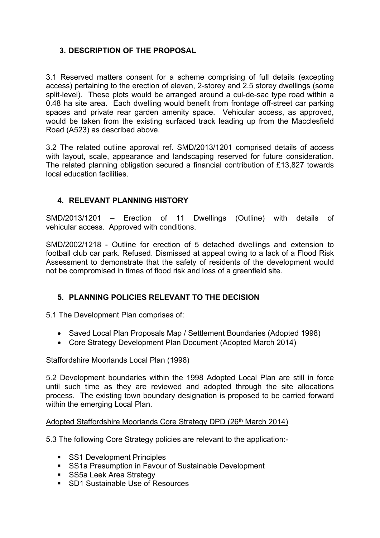# **3. DESCRIPTION OF THE PROPOSAL**

3.1 Reserved matters consent for a scheme comprising of full details (excepting access) pertaining to the erection of eleven, 2-storey and 2.5 storey dwellings (some split-level). These plots would be arranged around a cul-de-sac type road within a 0.48 ha site area. Each dwelling would benefit from frontage off-street car parking spaces and private rear garden amenity space. Vehicular access, as approved, would be taken from the existing surfaced track leading up from the Macclesfield Road (A523) as described above.

3.2 The related outline approval ref. SMD/2013/1201 comprised details of access with layout, scale, appearance and landscaping reserved for future consideration. The related planning obligation secured a financial contribution of £13,827 towards local education facilities.

# **4. RELEVANT PLANNING HISTORY**

SMD/2013/1201 – Erection of 11 Dwellings (Outline) with details of vehicular access. Approved with conditions.

SMD/2002/1218 - Outline for erection of 5 detached dwellings and extension to football club car park. Refused. Dismissed at appeal owing to a lack of a Flood Risk Assessment to demonstrate that the safety of residents of the development would not be compromised in times of flood risk and loss of a greenfield site.

# **5. PLANNING POLICIES RELEVANT TO THE DECISION**

5.1 The Development Plan comprises of:

- Saved Local Plan Proposals Map / Settlement Boundaries (Adopted 1998)
- Core Strategy Development Plan Document (Adopted March 2014)

## Staffordshire Moorlands Local Plan (1998)

5.2 Development boundaries within the 1998 Adopted Local Plan are still in force until such time as they are reviewed and adopted through the site allocations process. The existing town boundary designation is proposed to be carried forward within the emerging Local Plan.

## Adopted Staffordshire Moorlands Core Strategy DPD (26<sup>th</sup> March 2014)

5.3 The following Core Strategy policies are relevant to the application:-

- **SS1 Development Principles**
- **SS1a Presumption in Favour of Sustainable Development**
- **SS5a Leek Area Strategy**
- SD1 Sustainable Use of Resources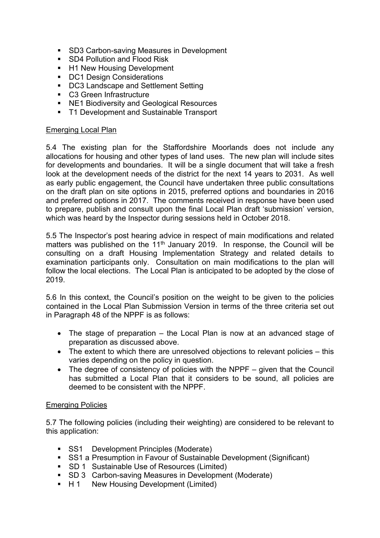- **SD3 Carbon-saving Measures in Development**
- **SD4 Pollution and Flood Risk**
- H1 New Housing Development
- **DC1 Design Considerations**
- DC3 Landscape and Settlement Setting
- C3 Green Infrastructure
- NE1 Biodiversity and Geological Resources
- **T1 Development and Sustainable Transport**

#### Emerging Local Plan

5.4 The existing plan for the Staffordshire Moorlands does not include any allocations for housing and other types of land uses. The new plan will include sites for developments and boundaries. It will be a single document that will take a fresh look at the development needs of the district for the next 14 years to 2031. As well as early public engagement, the Council have undertaken three public consultations on the draft plan on site options in 2015, preferred options and boundaries in 2016 and preferred options in 2017. The comments received in response have been used to prepare, publish and consult upon the final Local Plan draft 'submission' version, which was heard by the Inspector during sessions held in October 2018.

5.5 The Inspector's post hearing advice in respect of main modifications and related matters was published on the  $11<sup>th</sup>$  January 2019. In response, the Council will be consulting on a draft Housing Implementation Strategy and related details to examination participants only. Consultation on main modifications to the plan will follow the local elections. The Local Plan is anticipated to be adopted by the close of 2019.

5.6 In this context, the Council's position on the weight to be given to the policies contained in the Local Plan Submission Version in terms of the three criteria set out in Paragraph 48 of the NPPF is as follows:

- The stage of preparation the Local Plan is now at an advanced stage of preparation as discussed above.
- The extent to which there are unresolved objections to relevant policies this varies depending on the policy in question.
- The degree of consistency of policies with the NPPF given that the Council has submitted a Local Plan that it considers to be sound, all policies are deemed to be consistent with the NPPF.

## Emerging Policies

5.7 The following policies (including their weighting) are considered to be relevant to this application:

- **SS1** Development Principles (Moderate)
- SS1 a Presumption in Favour of Sustainable Development (Significant)
- SD 1 Sustainable Use of Resources (Limited)
- SD 3 Carbon-saving Measures in Development (Moderate)
- H 1 New Housing Development (Limited)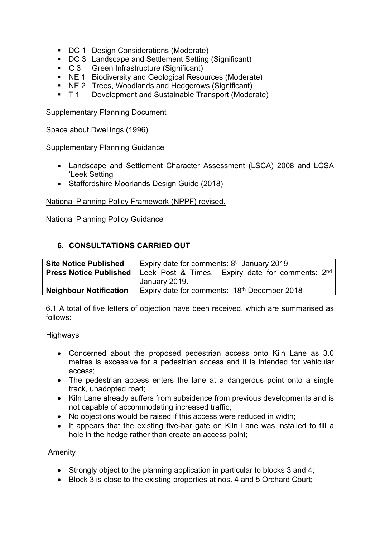- DC 1 Design Considerations (Moderate)
- DC 3 Landscape and Settlement Setting (Significant)
- C 3 Green Infrastructure (Significant)
- NE 1 Biodiversity and Geological Resources (Moderate)
- NE 2 Trees, Woodlands and Hedgerows (Significant)
- T 1 Development and Sustainable Transport (Moderate)

Supplementary Planning Document

Space about Dwellings (1996)

## Supplementary Planning Guidance

- Landscape and Settlement Character Assessment (LSCA) 2008 and LCSA 'Leek Setting'
- Staffordshire Moorlands Design Guide (2018)

National Planning Policy Framework (NPPF) revised.

## National Planning Policy Guidance

# **6. CONSULTATIONS CARRIED OUT**

| <b>Site Notice Published</b>  | Expiry date for comments: $8th$ January 2019         |
|-------------------------------|------------------------------------------------------|
| <b>Press Notice Published</b> | Expiry date for comments: $2nd$<br>Leek Post & Times |
|                               | January 2019.                                        |
| <b>Neighbour Notification</b> | Expiry date for comments: 18th December 2018         |

6.1 A total of five letters of objection have been received, which are summarised as follows:

#### **Highways**

- Concerned about the proposed pedestrian access onto Kiln Lane as 3.0 metres is excessive for a pedestrian access and it is intended for vehicular access;
- The pedestrian access enters the lane at a dangerous point onto a single track, unadopted road;
- Kiln Lane already suffers from subsidence from previous developments and is not capable of accommodating increased traffic;
- No objections would be raised if this access were reduced in width;
- It appears that the existing five-bar gate on Kiln Lane was installed to fill a hole in the hedge rather than create an access point;

## Amenity

- Strongly object to the planning application in particular to blocks 3 and 4;
- Block 3 is close to the existing properties at nos. 4 and 5 Orchard Court;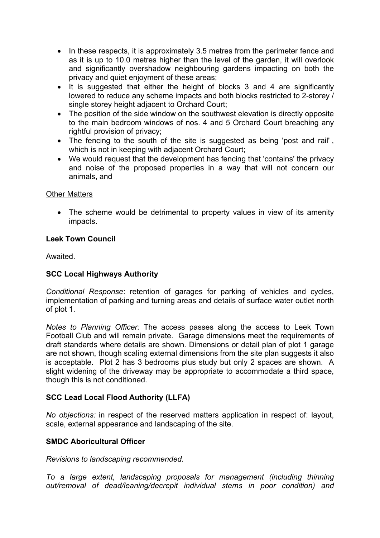- In these respects, it is approximately 3.5 metres from the perimeter fence and as it is up to 10.0 metres higher than the level of the garden, it will overlook and significantly overshadow neighbouring gardens impacting on both the privacy and quiet enjoyment of these areas;
- It is suggested that either the height of blocks 3 and 4 are significantly lowered to reduce any scheme impacts and both blocks restricted to 2-storey / single storey height adjacent to Orchard Court;
- The position of the side window on the southwest elevation is directly opposite to the main bedroom windows of nos. 4 and 5 Orchard Court breaching any rightful provision of privacy;
- The fencing to the south of the site is suggested as being 'post and rail', which is not in keeping with adjacent Orchard Court;
- We would request that the development has fencing that 'contains' the privacy and noise of the proposed properties in a way that will not concern our animals, and

## Other Matters

• The scheme would be detrimental to property values in view of its amenity impacts.

## **Leek Town Council**

Awaited.

# **SCC Local Highways Authority**

*Conditional Response*: retention of garages for parking of vehicles and cycles, implementation of parking and turning areas and details of surface water outlet north of plot 1.

*Notes to Planning Officer:* The access passes along the access to Leek Town Football Club and will remain private. Garage dimensions meet the requirements of draft standards where details are shown. Dimensions or detail plan of plot 1 garage are not shown, though scaling external dimensions from the site plan suggests it also is acceptable. Plot 2 has 3 bedrooms plus study but only 2 spaces are shown. A slight widening of the driveway may be appropriate to accommodate a third space, though this is not conditioned.

# **SCC Lead Local Flood Authority (LLFA)**

*No objections:* in respect of the reserved matters application in respect of: layout, scale, external appearance and landscaping of the site.

## **SMDC Aboricultural Officer**

*Revisions to landscaping recommended.*

*To a large extent, landscaping proposals for management (including thinning out/removal of dead/leaning/decrepit individual stems in poor condition) and*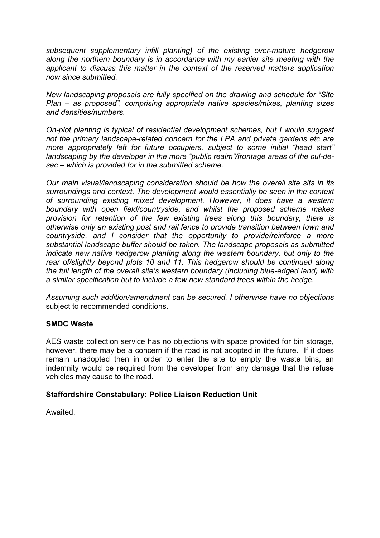*subsequent supplementary infill planting) of the existing over-mature hedgerow along the northern boundary is in accordance with my earlier site meeting with the applicant to discuss this matter in the context of the reserved matters application now since submitted.*

*New landscaping proposals are fully specified on the drawing and schedule for "Site Plan – as proposed", comprising appropriate native species/mixes, planting sizes and densities/numbers.*

*On-plot planting is typical of residential development schemes, but I would suggest not the primary landscape-related concern for the LPA and private gardens etc are more appropriately left for future occupiers, subject to some initial "head start" landscaping by the developer in the more "public realm"/frontage areas of the cul-desac – which is provided for in the submitted scheme.*

*Our main visual/landscaping consideration should be how the overall site sits in its surroundings and context. The development would essentially be seen in the context of surrounding existing mixed development. However, it does have a western boundary with open field/countryside, and whilst the proposed scheme makes provision for retention of the few existing trees along this boundary, there is otherwise only an existing post and rail fence to provide transition between town and countryside, and I consider that the opportunity to provide/reinforce a more substantial landscape buffer should be taken. The landscape proposals as submitted indicate new native hedgerow planting along the western boundary, but only to the rear of/slightly beyond plots 10 and 11. This hedgerow should be continued along the full length of the overall site's western boundary (including blue-edged land) with a similar specification but to include a few new standard trees within the hedge.*

*Assuming such addition/amendment can be secured, I otherwise have no objections* subject to recommended conditions.

## **SMDC Waste**

AES waste collection service has no objections with space provided for bin storage, however, there may be a concern if the road is not adopted in the future. If it does remain unadopted then in order to enter the site to empty the waste bins, an indemnity would be required from the developer from any damage that the refuse vehicles may cause to the road.

## **Staffordshire Constabulary: Police Liaison Reduction Unit**

Awaited.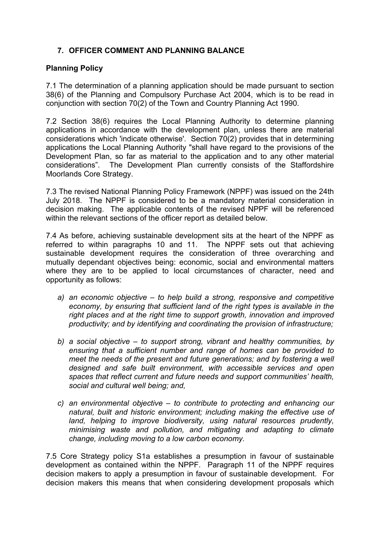# **7. OFFICER COMMENT AND PLANNING BALANCE**

## **Planning Policy**

7.1 The determination of a planning application should be made pursuant to section 38(6) of the Planning and Compulsory Purchase Act 2004, which is to be read in conjunction with section 70(2) of the Town and Country Planning Act 1990.

7.2 Section 38(6) requires the Local Planning Authority to determine planning applications in accordance with the development plan, unless there are material considerations which 'indicate otherwise'. Section 70(2) provides that in determining applications the Local Planning Authority "shall have regard to the provisions of the Development Plan, so far as material to the application and to any other material considerations". The Development Plan currently consists of the Staffordshire Moorlands Core Strategy.

7.3 The revised National Planning Policy Framework (NPPF) was issued on the 24th July 2018. The NPPF is considered to be a mandatory material consideration in decision making. The applicable contents of the revised NPPF will be referenced within the relevant sections of the officer report as detailed below.

7.4 As before, achieving sustainable development sits at the heart of the NPPF as referred to within paragraphs 10 and 11. The NPPF sets out that achieving sustainable development requires the consideration of three overarching and mutually dependant objectives being: economic, social and environmental matters where they are to be applied to local circumstances of character, need and opportunity as follows:

- *a) an economic objective – to help build a strong, responsive and competitive economy, by ensuring that sufficient land of the right types is available in the right places and at the right time to support growth, innovation and improved productivity; and by identifying and coordinating the provision of infrastructure;*
- *b) a social objective – to support strong, vibrant and healthy communities, by ensuring that a sufficient number and range of homes can be provided to meet the needs of the present and future generations; and by fostering a well designed and safe built environment, with accessible services and open spaces that reflect current and future needs and support communities' health, social and cultural well being; and,*
- *c) an environmental objective – to contribute to protecting and enhancing our natural, built and historic environment; including making the effective use of land, helping to improve biodiversity, using natural resources prudently, minimising waste and pollution, and mitigating and adapting to climate change, including moving to a low carbon economy.*

7.5 Core Strategy policy S1a establishes a presumption in favour of sustainable development as contained within the NPPF. Paragraph 11 of the NPPF requires decision makers to apply a presumption in favour of sustainable development. For decision makers this means that when considering development proposals which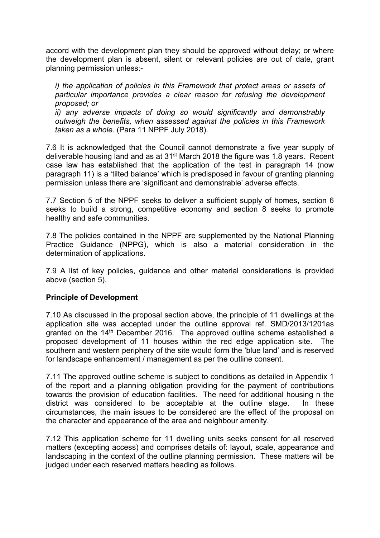accord with the development plan they should be approved without delay; or where the development plan is absent, silent or relevant policies are out of date, grant planning permission unless:-

*i) the application of policies in this Framework that protect areas or assets of particular importance provides a clear reason for refusing the development proposed; or*

*ii) any adverse impacts of doing so would significantly and demonstrably outweigh the benefits, when assessed against the policies in this Framework taken as a whole.* (Para 11 NPPF July 2018).

7.6 It is acknowledged that the Council cannot demonstrate a five year supply of deliverable housing land and as at 31st March 2018 the figure was 1.8 years. Recent case law has established that the application of the test in paragraph 14 (now paragraph 11) is a 'tilted balance' which is predisposed in favour of granting planning permission unless there are 'significant and demonstrable' adverse effects.

7.7 Section 5 of the NPPF seeks to deliver a sufficient supply of homes, section 6 seeks to build a strong, competitive economy and section 8 seeks to promote healthy and safe communities.

7.8 The policies contained in the NPPF are supplemented by the National Planning Practice Guidance (NPPG), which is also a material consideration in the determination of applications.

7.9 A list of key policies, guidance and other material considerations is provided above (section 5).

## **Principle of Development**

7.10 As discussed in the proposal section above, the principle of 11 dwellings at the application site was accepted under the outline approval ref. SMD/2013/1201as granted on the 14<sup>th</sup> December 2016. The approved outline scheme established a proposed development of 11 houses within the red edge application site. The southern and western periphery of the site would form the 'blue land' and is reserved for landscape enhancement / management as per the outline consent.

7.11 The approved outline scheme is subject to conditions as detailed in Appendix 1 of the report and a planning obligation providing for the payment of contributions towards the provision of education facilities. The need for additional housing n the district was considered to be acceptable at the outline stage. In these circumstances, the main issues to be considered are the effect of the proposal on the character and appearance of the area and neighbour amenity.

7.12 This application scheme for 11 dwelling units seeks consent for all reserved matters (excepting access) and comprises details of: layout, scale, appearance and landscaping in the context of the outline planning permission. These matters will be judged under each reserved matters heading as follows.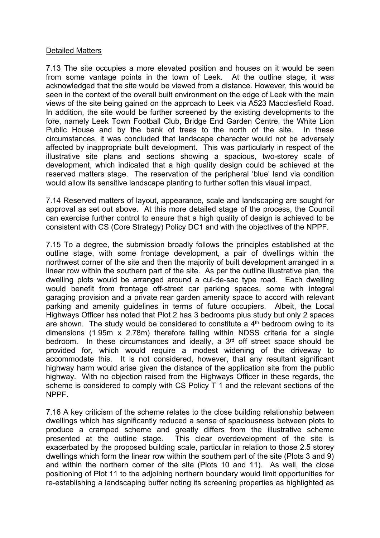## Detailed Matters

7.13 The site occupies a more elevated position and houses on it would be seen from some vantage points in the town of Leek. At the outline stage, it was acknowledged that the site would be viewed from a distance. However, this would be seen in the context of the overall built environment on the edge of Leek with the main views of the site being gained on the approach to Leek via A523 Macclesfield Road. In addition, the site would be further screened by the existing developments to the fore, namely Leek Town Football Club, Bridge End Garden Centre, the White Lion Public House and by the bank of trees to the north of the site. In these circumstances, it was concluded that landscape character would not be adversely affected by inappropriate built development. This was particularly in respect of the illustrative site plans and sections showing a spacious, two-storey scale of development, which indicated that a high quality design could be achieved at the reserved matters stage. The reservation of the peripheral 'blue' land via condition would allow its sensitive landscape planting to further soften this visual impact.

7.14 Reserved matters of layout, appearance, scale and landscaping are sought for approval as set out above. At this more detailed stage of the process, the Council can exercise further control to ensure that a high quality of design is achieved to be consistent with CS (Core Strategy) Policy DC1 and with the objectives of the NPPF.

7.15 To a degree, the submission broadly follows the principles established at the outline stage, with some frontage development, a pair of dwellings within the northwest corner of the site and then the majority of built development arranged in a linear row within the southern part of the site. As per the outline illustrative plan, the dwelling plots would be arranged around a cul-de-sac type road. Each dwelling would benefit from frontage off-street car parking spaces, some with integral garaging provision and a private rear garden amenity space to accord with relevant parking and amenity guidelines in terms of future occupiers. Albeit, the Local Highways Officer has noted that Plot 2 has 3 bedrooms plus study but only 2 spaces are shown. The study would be considered to constitute a  $4<sup>th</sup>$  bedroom owing to its dimensions (1.95m x 2.78m) therefore falling within NDSS criteria for a single bedroom. In these circumstances and ideally, a 3<sup>rd</sup> off street space should be provided for, which would require a modest widening of the driveway to accommodate this. It is not considered, however, that any resultant significant highway harm would arise given the distance of the application site from the public highway. With no objection raised from the Highways Officer in these regards, the scheme is considered to comply with CS Policy T 1 and the relevant sections of the NPPF.

7.16 A key criticism of the scheme relates to the close building relationship between dwellings which has significantly reduced a sense of spaciousness between plots to produce a cramped scheme and greatly differs from the illustrative scheme presented at the outline stage. This clear overdevelopment of the site is exacerbated by the proposed building scale, particular in relation to those 2.5 storey dwellings which form the linear row within the southern part of the site (Plots 3 and 9) and within the northern corner of the site (Plots 10 and 11). As well, the close positioning of Plot 11 to the adjoining northern boundary would limit opportunities for re-establishing a landscaping buffer noting its screening properties as highlighted as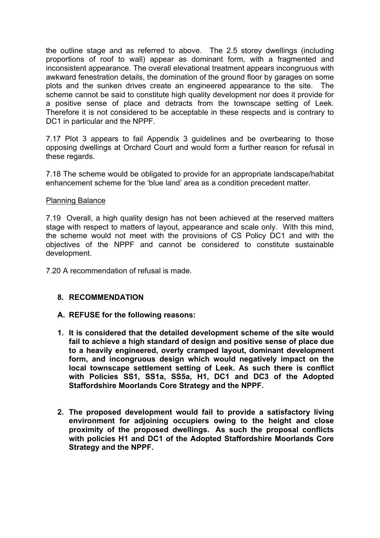the outline stage and as referred to above. The 2.5 storey dwellings (including proportions of roof to wall) appear as dominant form, with a fragmented and inconsistent appearance. The overall elevational treatment appears incongruous with awkward fenestration details, the domination of the ground floor by garages on some plots and the sunken drives create an engineered appearance to the site. The scheme cannot be said to constitute high quality development nor does it provide for a positive sense of place and detracts from the townscape setting of Leek. Therefore it is not considered to be acceptable in these respects and is contrary to DC1 in particular and the NPPF.

7.17 Plot 3 appears to fail Appendix 3 guidelines and be overbearing to those opposing dwellings at Orchard Court and would form a further reason for refusal in these regards.

7.18 The scheme would be obligated to provide for an appropriate landscape/habitat enhancement scheme for the 'blue land' area as a condition precedent matter.

#### Planning Balance

7.19 Overall, a high quality design has not been achieved at the reserved matters stage with respect to matters of layout, appearance and scale only. With this mind, the scheme would not meet with the provisions of CS Policy DC1 and with the objectives of the NPPF and cannot be considered to constitute sustainable development.

7.20 A recommendation of refusal is made.

#### **8. RECOMMENDATION**

#### **A. REFUSE for the following reasons:**

- **1. It is considered that the detailed development scheme of the site would fail to achieve a high standard of design and positive sense of place due to a heavily engineered, overly cramped layout, dominant development form, and incongruous design which would negatively impact on the local townscape settlement setting of Leek. As such there is conflict with Policies SS1, SS1a, SS5a, H1, DC1 and DC3 of the Adopted Staffordshire Moorlands Core Strategy and the NPPF.**
- **2. The proposed development would fail to provide a satisfactory living environment for adjoining occupiers owing to the height and close proximity of the proposed dwellings. As such the proposal conflicts with policies H1 and DC1 of the Adopted Staffordshire Moorlands Core Strategy and the NPPF.**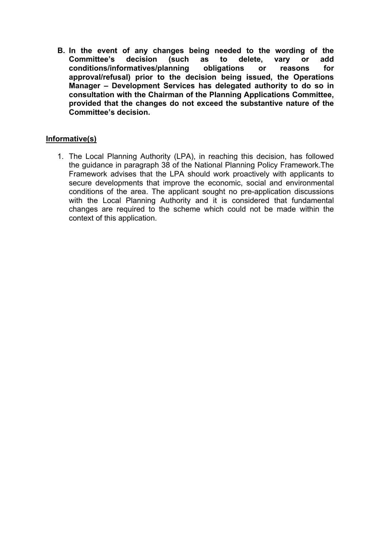**B. In the event of any changes being needed to the wording of the Committee's decision (such as to delete, vary or add conditions/informatives/planning obligations or reasons for approval/refusal) prior to the decision being issued, the Operations Manager – Development Services has delegated authority to do so in consultation with the Chairman of the Planning Applications Committee, provided that the changes do not exceed the substantive nature of the Committee's decision.**

# **Informative(s)**

1. The Local Planning Authority (LPA), in reaching this decision, has followed the guidance in paragraph 38 of the National Planning Policy Framework.The Framework advises that the LPA should work proactively with applicants to secure developments that improve the economic, social and environmental conditions of the area. The applicant sought no pre-application discussions with the Local Planning Authority and it is considered that fundamental changes are required to the scheme which could not be made within the context of this application.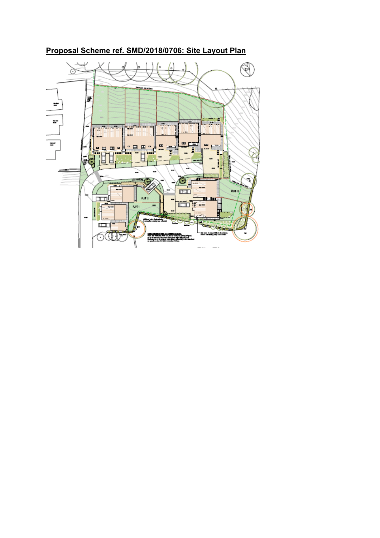#### ଔ ò 뜵  $\ddot{z}$  $\overline{r}$ al in an<sup>n</sup>ain a ar<sup>ndarn</sup>e <u>gan basa</u> Ŧ  $\frac{1}{\pi}$  $\blacksquare$ ● 国 国 ● **ED ED ED** Ï Ē  $\frac{1000}{1000}$  $\overline{\mathbf{u}}$ 5 G G  $\overline{\phantom{a}}$  $\overline{m}$ PLOT-10  $MAT2$ 111-Jul  $\overline{CD}$  if  $-$ Rot

s<br>San Alberton de Lucia de Mario (1944)<br>San Alberton de Lucia de Mario (1944)<br>San Alberton (1955), seu libre de Mario (1944)<br>Angel de Mario (1945), seu libre de Mario

Ш ╥┐

 $(0, 1)$ 

**Proposal Scheme ref. SMD/2018/0706: Site Layout Plan**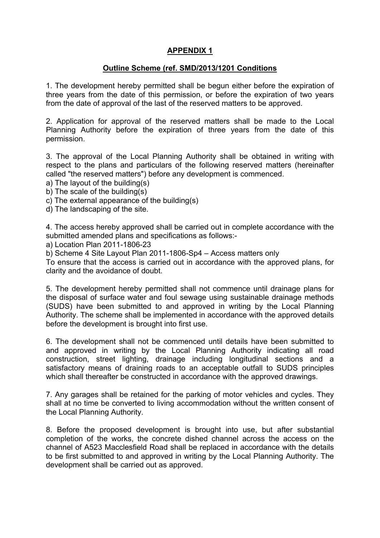# **APPENDIX 1**

#### **Outline Scheme (ref. SMD/2013/1201 Conditions**

1. The development hereby permitted shall be begun either before the expiration of three years from the date of this permission, or before the expiration of two years from the date of approval of the last of the reserved matters to be approved.

2. Application for approval of the reserved matters shall be made to the Local Planning Authority before the expiration of three years from the date of this permission.

3. The approval of the Local Planning Authority shall be obtained in writing with respect to the plans and particulars of the following reserved matters (hereinafter called "the reserved matters") before any development is commenced.

- a) The layout of the building(s)
- b) The scale of the building(s)
- c) The external appearance of the building(s)
- d) The landscaping of the site.

4. The access hereby approved shall be carried out in complete accordance with the submitted amended plans and specifications as follows:-

a) Location Plan 2011-1806-23

b) Scheme 4 Site Layout Plan 2011-1806-Sp4 – Access matters only

To ensure that the access is carried out in accordance with the approved plans, for clarity and the avoidance of doubt.

5. The development hereby permitted shall not commence until drainage plans for the disposal of surface water and foul sewage using sustainable drainage methods (SUDS) have been submitted to and approved in writing by the Local Planning Authority. The scheme shall be implemented in accordance with the approved details before the development is brought into first use.

6. The development shall not be commenced until details have been submitted to and approved in writing by the Local Planning Authority indicating all road construction, street lighting, drainage including longitudinal sections and a satisfactory means of draining roads to an acceptable outfall to SUDS principles which shall thereafter be constructed in accordance with the approved drawings.

7. Any garages shall be retained for the parking of motor vehicles and cycles. They shall at no time be converted to living accommodation without the written consent of the Local Planning Authority.

8. Before the proposed development is brought into use, but after substantial completion of the works, the concrete dished channel across the access on the channel of A523 Macclesfield Road shall be replaced in accordance with the details to be first submitted to and approved in writing by the Local Planning Authority. The development shall be carried out as approved.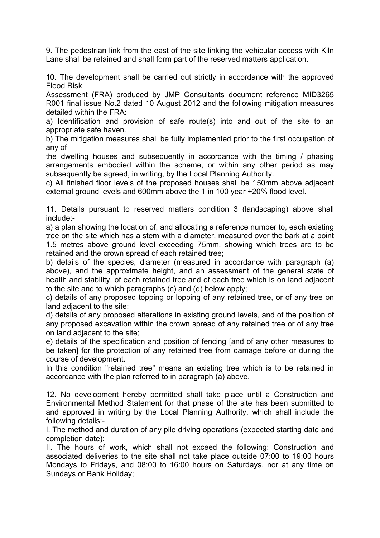9. The pedestrian link from the east of the site linking the vehicular access with Kiln Lane shall be retained and shall form part of the reserved matters application.

10. The development shall be carried out strictly in accordance with the approved Flood Risk

Assessment (FRA) produced by JMP Consultants document reference MID3265 R001 final issue No.2 dated 10 August 2012 and the following mitigation measures detailed within the FRA:

a) Identification and provision of safe route(s) into and out of the site to an appropriate safe haven.

b) The mitigation measures shall be fully implemented prior to the first occupation of any of

the dwelling houses and subsequently in accordance with the timing / phasing arrangements embodied within the scheme, or within any other period as may subsequently be agreed, in writing, by the Local Planning Authority.

c) All finished floor levels of the proposed houses shall be 150mm above adjacent external ground levels and 600mm above the 1 in 100 year +20% flood level.

11. Details pursuant to reserved matters condition 3 (landscaping) above shall include:-

a) a plan showing the location of, and allocating a reference number to, each existing tree on the site which has a stem with a diameter, measured over the bark at a point 1.5 metres above ground level exceeding 75mm, showing which trees are to be retained and the crown spread of each retained tree;

b) details of the species, diameter (measured in accordance with paragraph (a) above), and the approximate height, and an assessment of the general state of health and stability, of each retained tree and of each tree which is on land adjacent to the site and to which paragraphs (c) and (d) below apply;

c) details of any proposed topping or lopping of any retained tree, or of any tree on land adjacent to the site;

d) details of any proposed alterations in existing ground levels, and of the position of any proposed excavation within the crown spread of any retained tree or of any tree on land adjacent to the site;

e) details of the specification and position of fencing [and of any other measures to be taken] for the protection of any retained tree from damage before or during the course of development.

In this condition "retained tree" means an existing tree which is to be retained in accordance with the plan referred to in paragraph (a) above.

12. No development hereby permitted shall take place until a Construction and Environmental Method Statement for that phase of the site has been submitted to and approved in writing by the Local Planning Authority, which shall include the following details:-

I. The method and duration of any pile driving operations (expected starting date and completion date);

II. The hours of work, which shall not exceed the following: Construction and associated deliveries to the site shall not take place outside 07:00 to 19:00 hours Mondays to Fridays, and 08:00 to 16:00 hours on Saturdays, nor at any time on Sundays or Bank Holiday;